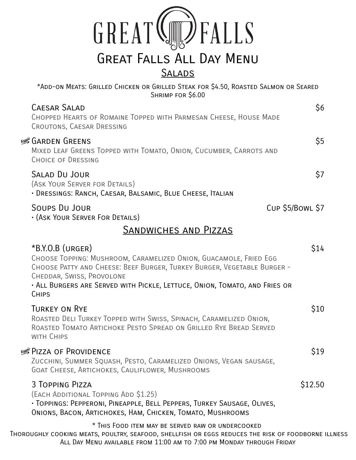| GREAT (J) FALLS                 |
|---------------------------------|
| <b>GREAT FALLS ALL DAY MENU</b> |
| <b>SAI ADS</b>                  |

\*Add-on Meats: Grilled Chicken or Grilled Steak for \$4.50, Roasted Salmon or Seared Shrimp for \$6.00 CAESAR SALAD \$6 Chopped Hearts of Romaine Topped with Parmesan Cheese, House Made Croutons, Caesar Dressing ÀGarden Greens \$5 Mixed Leaf Greens Topped with Tomato, Onion, Cucumber, Carrots and Choice of Dressing Salad Du Jour \$7 (Ask Your Server for Details) • Dressings: Ranch, Caesar, Balsamic, Blue Cheese, Italian

## SOUPS DU JOUR CUP \$5/BOWL \$7

• (Ask Your Server For Details)

## Sandwiches and Pizzas

| $*B.Y.O.B$ (URGER)<br>CHOOSE TOPPING: MUSHROOM, CARAMELIZED ONION, GUACAMOLE, FRIED EGG<br>CHOOSE PATTY AND CHEESE: BEEF BURGER, TURKEY BURGER, VEGETABLE BURGER -<br>CHEDDAR, SWISS, PROVOLONE<br>· ALL BURGERS ARE SERVED WITH PICKLE, LETTUCE, ONION, TOMATO, AND FRIES OR<br><b>CHIPS</b> | S14                |
|-----------------------------------------------------------------------------------------------------------------------------------------------------------------------------------------------------------------------------------------------------------------------------------------------|--------------------|
| <b>TURKEY ON RYE</b><br>ROASTED DELI TURKEY TOPPED WITH SWISS, SPINACH, CARAMELIZED ONION,<br>ROASTED TOMATO ARTICHOKE PESTO SPREAD ON GRILLED RYE BREAD SERVED<br>WITH CHIPS                                                                                                                 | S10                |
| <b>/segger PIZZA OF PROVIDENCE</b><br>ZUCCHINI, SUMMER SQUASH, PESTO, CARAMELIZED ONIONS, VEGAN SAUSAGE,<br>GOAT CHEESE, ARTICHOKES, CAULIFLOWER, MUSHROOMS                                                                                                                                   | \$19               |
| 3 TOPPING PIZZA<br>(EACH ADDITIONAL TOPPING ADD \$1.25)<br>· TOPPINGS: PEPPERONI, PINEAPPLE, BELL PEPPERS, TURKEY SAUSAGE, OLIVES,<br>ONIONS, BACON, ARTICHOKES, HAM, CHICKEN, TOMATO, MUSHROOMS                                                                                              | S <sub>12.50</sub> |
| * THIS FOOD ITEM MAY BE SERVED RAW OR UNDERCOOKED                                                                                                                                                                                                                                             |                    |

 Thoroughly cooking meats, poultry, seafood, shellfish or eggs reduces the risk of foodborne illness All Day Menu available from 11:00 am to 7:00 pm Monday through Friday